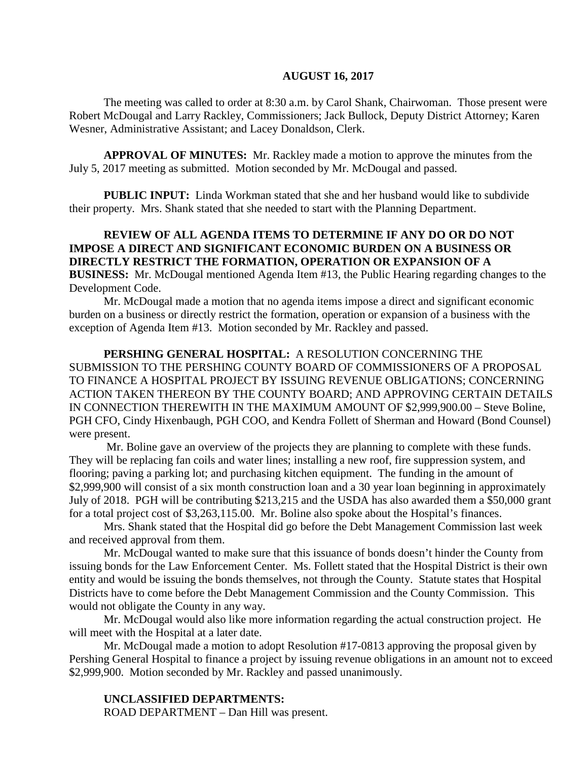#### **AUGUST 16, 2017**

The meeting was called to order at 8:30 a.m. by Carol Shank, Chairwoman. Those present were Robert McDougal and Larry Rackley, Commissioners; Jack Bullock, Deputy District Attorney; Karen Wesner, Administrative Assistant; and Lacey Donaldson, Clerk.

**APPROVAL OF MINUTES:** Mr. Rackley made a motion to approve the minutes from the July 5, 2017 meeting as submitted. Motion seconded by Mr. McDougal and passed.

 **PUBLIC INPUT:** Linda Workman stated that she and her husband would like to subdivide their property. Mrs. Shank stated that she needed to start with the Planning Department.

## **REVIEW OF ALL AGENDA ITEMS TO DETERMINE IF ANY DO OR DO NOT IMPOSE A DIRECT AND SIGNIFICANT ECONOMIC BURDEN ON A BUSINESS OR DIRECTLY RESTRICT THE FORMATION, OPERATION OR EXPANSION OF A BUSINESS:** Mr. McDougal mentioned Agenda Item #13, the Public Hearing regarding changes to the Development Code.

Mr. McDougal made a motion that no agenda items impose a direct and significant economic burden on a business or directly restrict the formation, operation or expansion of a business with the exception of Agenda Item #13. Motion seconded by Mr. Rackley and passed.

**PERSHING GENERAL HOSPITAL:** A RESOLUTION CONCERNING THE SUBMISSION TO THE PERSHING COUNTY BOARD OF COMMISSIONERS OF A PROPOSAL TO FINANCE A HOSPITAL PROJECT BY ISSUING REVENUE OBLIGATIONS; CONCERNING ACTION TAKEN THEREON BY THE COUNTY BOARD; AND APPROVING CERTAIN DETAILS IN CONNECTION THEREWITH IN THE MAXIMUM AMOUNT OF \$2,999,900.00 – Steve Boline, PGH CFO, Cindy Hixenbaugh, PGH COO, and Kendra Follett of Sherman and Howard (Bond Counsel) were present.

Mr. Boline gave an overview of the projects they are planning to complete with these funds. They will be replacing fan coils and water lines; installing a new roof, fire suppression system, and flooring; paving a parking lot; and purchasing kitchen equipment. The funding in the amount of \$2,999,900 will consist of a six month construction loan and a 30 year loan beginning in approximately July of 2018. PGH will be contributing \$213,215 and the USDA has also awarded them a \$50,000 grant for a total project cost of \$3,263,115.00. Mr. Boline also spoke about the Hospital's finances.

Mrs. Shank stated that the Hospital did go before the Debt Management Commission last week and received approval from them.

Mr. McDougal wanted to make sure that this issuance of bonds doesn't hinder the County from issuing bonds for the Law Enforcement Center. Ms. Follett stated that the Hospital District is their own entity and would be issuing the bonds themselves, not through the County. Statute states that Hospital Districts have to come before the Debt Management Commission and the County Commission. This would not obligate the County in any way.

Mr. McDougal would also like more information regarding the actual construction project. He will meet with the Hospital at a later date.

Mr. McDougal made a motion to adopt Resolution #17-0813 approving the proposal given by Pershing General Hospital to finance a project by issuing revenue obligations in an amount not to exceed \$2,999,900. Motion seconded by Mr. Rackley and passed unanimously.

### **UNCLASSIFIED DEPARTMENTS:**

ROAD DEPARTMENT – Dan Hill was present.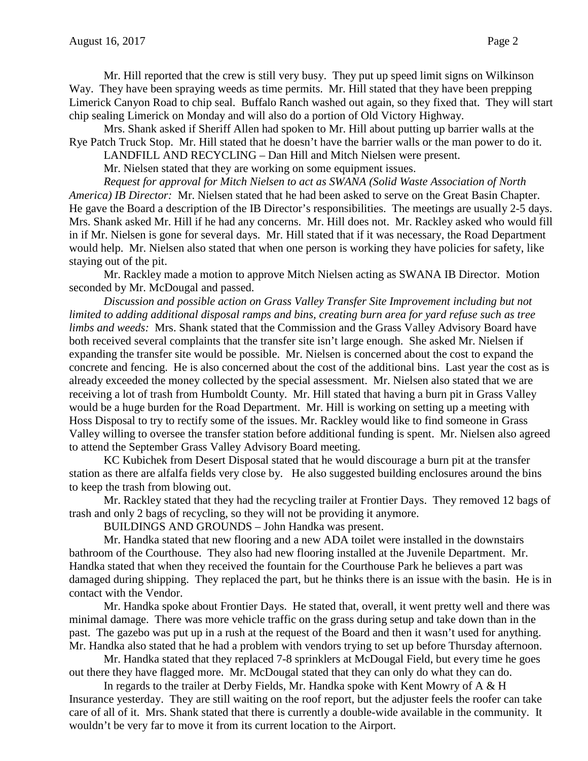Mr. Hill reported that the crew is still very busy. They put up speed limit signs on Wilkinson Way. They have been spraying weeds as time permits. Mr. Hill stated that they have been prepping Limerick Canyon Road to chip seal. Buffalo Ranch washed out again, so they fixed that. They will start chip sealing Limerick on Monday and will also do a portion of Old Victory Highway.

Mrs. Shank asked if Sheriff Allen had spoken to Mr. Hill about putting up barrier walls at the Rye Patch Truck Stop. Mr. Hill stated that he doesn't have the barrier walls or the man power to do it.

LANDFILL AND RECYCLING – Dan Hill and Mitch Nielsen were present.

Mr. Nielsen stated that they are working on some equipment issues.

*Request for approval for Mitch Nielsen to act as SWANA (Solid Waste Association of North America) IB Director:* Mr. Nielsen stated that he had been asked to serve on the Great Basin Chapter. He gave the Board a description of the IB Director's responsibilities. The meetings are usually 2-5 days. Mrs. Shank asked Mr. Hill if he had any concerns. Mr. Hill does not. Mr. Rackley asked who would fill in if Mr. Nielsen is gone for several days. Mr. Hill stated that if it was necessary, the Road Department would help. Mr. Nielsen also stated that when one person is working they have policies for safety, like staying out of the pit.

Mr. Rackley made a motion to approve Mitch Nielsen acting as SWANA IB Director. Motion seconded by Mr. McDougal and passed.

*Discussion and possible action on Grass Valley Transfer Site Improvement including but not limited to adding additional disposal ramps and bins, creating burn area for yard refuse such as tree limbs and weeds:* Mrs. Shank stated that the Commission and the Grass Valley Advisory Board have both received several complaints that the transfer site isn't large enough. She asked Mr. Nielsen if expanding the transfer site would be possible. Mr. Nielsen is concerned about the cost to expand the concrete and fencing. He is also concerned about the cost of the additional bins. Last year the cost as is already exceeded the money collected by the special assessment. Mr. Nielsen also stated that we are receiving a lot of trash from Humboldt County. Mr. Hill stated that having a burn pit in Grass Valley would be a huge burden for the Road Department. Mr. Hill is working on setting up a meeting with Hoss Disposal to try to rectify some of the issues. Mr. Rackley would like to find someone in Grass Valley willing to oversee the transfer station before additional funding is spent. Mr. Nielsen also agreed to attend the September Grass Valley Advisory Board meeting.

KC Kubichek from Desert Disposal stated that he would discourage a burn pit at the transfer station as there are alfalfa fields very close by. He also suggested building enclosures around the bins to keep the trash from blowing out.

Mr. Rackley stated that they had the recycling trailer at Frontier Days. They removed 12 bags of trash and only 2 bags of recycling, so they will not be providing it anymore.

BUILDINGS AND GROUNDS – John Handka was present.

Mr. Handka stated that new flooring and a new ADA toilet were installed in the downstairs bathroom of the Courthouse. They also had new flooring installed at the Juvenile Department. Mr. Handka stated that when they received the fountain for the Courthouse Park he believes a part was damaged during shipping. They replaced the part, but he thinks there is an issue with the basin. He is in contact with the Vendor.

Mr. Handka spoke about Frontier Days. He stated that, overall, it went pretty well and there was minimal damage. There was more vehicle traffic on the grass during setup and take down than in the past. The gazebo was put up in a rush at the request of the Board and then it wasn't used for anything. Mr. Handka also stated that he had a problem with vendors trying to set up before Thursday afternoon.

Mr. Handka stated that they replaced 7-8 sprinklers at McDougal Field, but every time he goes out there they have flagged more. Mr. McDougal stated that they can only do what they can do.

In regards to the trailer at Derby Fields, Mr. Handka spoke with Kent Mowry of A & H Insurance yesterday. They are still waiting on the roof report, but the adjuster feels the roofer can take care of all of it. Mrs. Shank stated that there is currently a double-wide available in the community. It wouldn't be very far to move it from its current location to the Airport.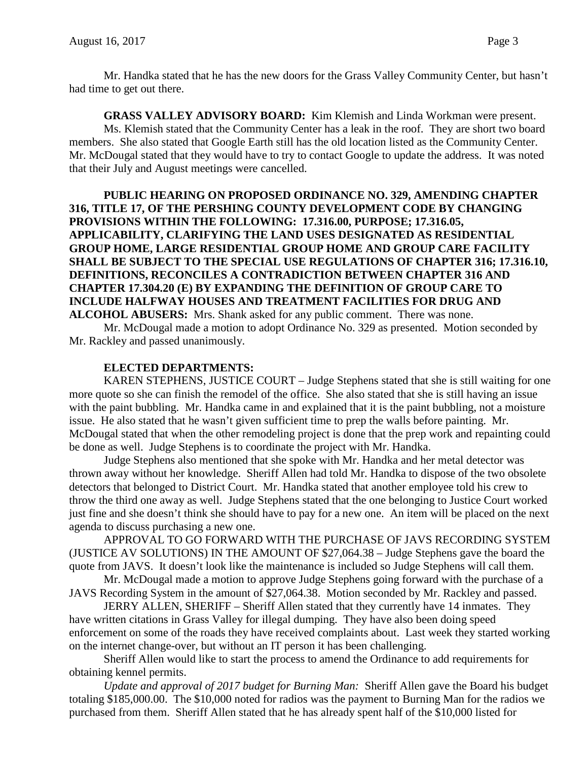Mr. Handka stated that he has the new doors for the Grass Valley Community Center, but hasn't had time to get out there.

**GRASS VALLEY ADVISORY BOARD:** Kim Klemish and Linda Workman were present. Ms. Klemish stated that the Community Center has a leak in the roof. They are short two board members. She also stated that Google Earth still has the old location listed as the Community Center. Mr. McDougal stated that they would have to try to contact Google to update the address. It was noted that their July and August meetings were cancelled.

**PUBLIC HEARING ON PROPOSED ORDINANCE NO. 329, AMENDING CHAPTER 316, TITLE 17, OF THE PERSHING COUNTY DEVELOPMENT CODE BY CHANGING PROVISIONS WITHIN THE FOLLOWING: 17.316.00, PURPOSE; 17.316.05, APPLICABILITY, CLARIFYING THE LAND USES DESIGNATED AS RESIDENTIAL GROUP HOME, LARGE RESIDENTIAL GROUP HOME AND GROUP CARE FACILITY SHALL BE SUBJECT TO THE SPECIAL USE REGULATIONS OF CHAPTER 316; 17.316.10, DEFINITIONS, RECONCILES A CONTRADICTION BETWEEN CHAPTER 316 AND CHAPTER 17.304.20 (E) BY EXPANDING THE DEFINITION OF GROUP CARE TO INCLUDE HALFWAY HOUSES AND TREATMENT FACILITIES FOR DRUG AND ALCOHOL ABUSERS:** Mrs. Shank asked for any public comment. There was none.

Mr. McDougal made a motion to adopt Ordinance No. 329 as presented. Motion seconded by Mr. Rackley and passed unanimously.

## **ELECTED DEPARTMENTS:**

KAREN STEPHENS, JUSTICE COURT – Judge Stephens stated that she is still waiting for one more quote so she can finish the remodel of the office. She also stated that she is still having an issue with the paint bubbling. Mr. Handka came in and explained that it is the paint bubbling, not a moisture issue. He also stated that he wasn't given sufficient time to prep the walls before painting. Mr. McDougal stated that when the other remodeling project is done that the prep work and repainting could be done as well. Judge Stephens is to coordinate the project with Mr. Handka.

Judge Stephens also mentioned that she spoke with Mr. Handka and her metal detector was thrown away without her knowledge. Sheriff Allen had told Mr. Handka to dispose of the two obsolete detectors that belonged to District Court. Mr. Handka stated that another employee told his crew to throw the third one away as well. Judge Stephens stated that the one belonging to Justice Court worked just fine and she doesn't think she should have to pay for a new one. An item will be placed on the next agenda to discuss purchasing a new one.

APPROVAL TO GO FORWARD WITH THE PURCHASE OF JAVS RECORDING SYSTEM (JUSTICE AV SOLUTIONS) IN THE AMOUNT OF \$27,064.38 – Judge Stephens gave the board the quote from JAVS. It doesn't look like the maintenance is included so Judge Stephens will call them.

Mr. McDougal made a motion to approve Judge Stephens going forward with the purchase of a JAVS Recording System in the amount of \$27,064.38. Motion seconded by Mr. Rackley and passed.

JERRY ALLEN, SHERIFF – Sheriff Allen stated that they currently have 14 inmates. They have written citations in Grass Valley for illegal dumping. They have also been doing speed enforcement on some of the roads they have received complaints about. Last week they started working on the internet change-over, but without an IT person it has been challenging.

Sheriff Allen would like to start the process to amend the Ordinance to add requirements for obtaining kennel permits.

*Update and approval of 2017 budget for Burning Man:* Sheriff Allen gave the Board his budget totaling \$185,000.00. The \$10,000 noted for radios was the payment to Burning Man for the radios we purchased from them. Sheriff Allen stated that he has already spent half of the \$10,000 listed for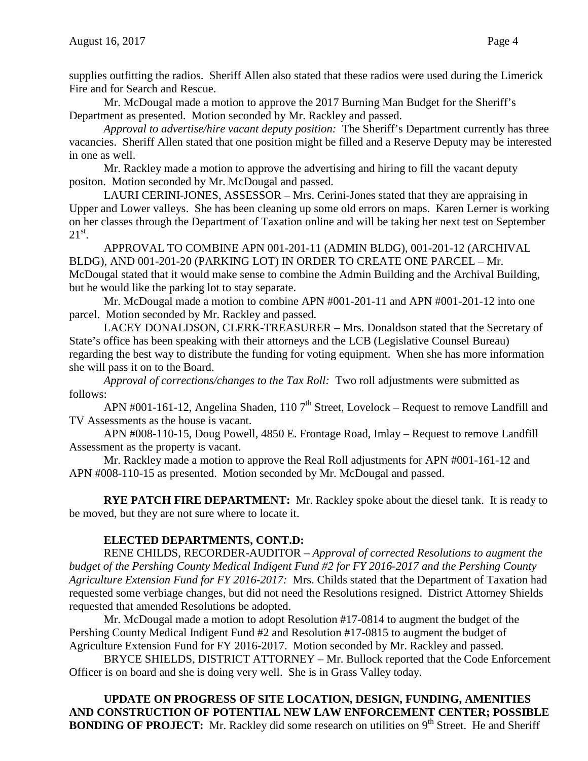supplies outfitting the radios. Sheriff Allen also stated that these radios were used during the Limerick Fire and for Search and Rescue.

Mr. McDougal made a motion to approve the 2017 Burning Man Budget for the Sheriff's Department as presented. Motion seconded by Mr. Rackley and passed.

*Approval to advertise/hire vacant deputy position:* The Sheriff's Department currently has three vacancies. Sheriff Allen stated that one position might be filled and a Reserve Deputy may be interested in one as well.

Mr. Rackley made a motion to approve the advertising and hiring to fill the vacant deputy positon. Motion seconded by Mr. McDougal and passed.

LAURI CERINI-JONES, ASSESSOR – Mrs. Cerini-Jones stated that they are appraising in Upper and Lower valleys. She has been cleaning up some old errors on maps. Karen Lerner is working on her classes through the Department of Taxation online and will be taking her next test on September  $21^{\rm st}$ .

APPROVAL TO COMBINE APN 001-201-11 (ADMIN BLDG), 001-201-12 (ARCHIVAL BLDG), AND 001-201-20 (PARKING LOT) IN ORDER TO CREATE ONE PARCEL – Mr. McDougal stated that it would make sense to combine the Admin Building and the Archival Building, but he would like the parking lot to stay separate.

Mr. McDougal made a motion to combine APN #001-201-11 and APN #001-201-12 into one parcel. Motion seconded by Mr. Rackley and passed.

LACEY DONALDSON, CLERK-TREASURER – Mrs. Donaldson stated that the Secretary of State's office has been speaking with their attorneys and the LCB (Legislative Counsel Bureau) regarding the best way to distribute the funding for voting equipment. When she has more information she will pass it on to the Board.

*Approval of corrections/changes to the Tax Roll:* Two roll adjustments were submitted as follows:

APN #001-161-12, Angelina Shaden, 110  $7<sup>th</sup>$  Street, Lovelock – Request to remove Landfill and TV Assessments as the house is vacant.

APN #008-110-15, Doug Powell, 4850 E. Frontage Road, Imlay – Request to remove Landfill Assessment as the property is vacant.

Mr. Rackley made a motion to approve the Real Roll adjustments for APN #001-161-12 and APN #008-110-15 as presented. Motion seconded by Mr. McDougal and passed.

**RYE PATCH FIRE DEPARTMENT:** Mr. Rackley spoke about the diesel tank. It is ready to be moved, but they are not sure where to locate it.

# **ELECTED DEPARTMENTS, CONT.D:**

RENE CHILDS, RECORDER-AUDITOR – *Approval of corrected Resolutions to augment the budget of the Pershing County Medical Indigent Fund #2 for FY 2016-2017 and the Pershing County Agriculture Extension Fund for FY 2016-2017:* Mrs. Childs stated that the Department of Taxation had requested some verbiage changes, but did not need the Resolutions resigned. District Attorney Shields requested that amended Resolutions be adopted.

Mr. McDougal made a motion to adopt Resolution #17-0814 to augment the budget of the Pershing County Medical Indigent Fund #2 and Resolution #17-0815 to augment the budget of Agriculture Extension Fund for FY 2016-2017. Motion seconded by Mr. Rackley and passed.

BRYCE SHIELDS, DISTRICT ATTORNEY – Mr. Bullock reported that the Code Enforcement Officer is on board and she is doing very well. She is in Grass Valley today.

**UPDATE ON PROGRESS OF SITE LOCATION, DESIGN, FUNDING, AMENITIES AND CONSTRUCTION OF POTENTIAL NEW LAW ENFORCEMENT CENTER; POSSIBLE BONDING OF PROJECT:** Mr. Rackley did some research on utilities on 9<sup>th</sup> Street. He and Sheriff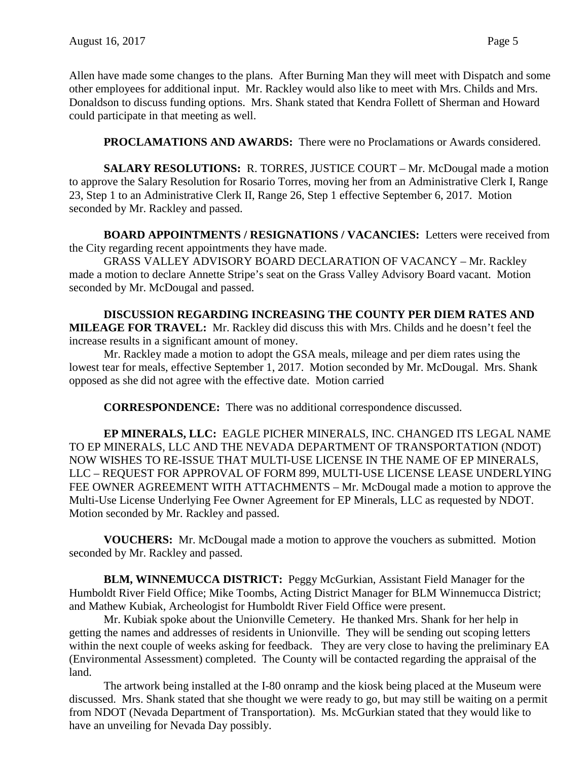Allen have made some changes to the plans. After Burning Man they will meet with Dispatch and some other employees for additional input. Mr. Rackley would also like to meet with Mrs. Childs and Mrs. Donaldson to discuss funding options. Mrs. Shank stated that Kendra Follett of Sherman and Howard could participate in that meeting as well.

**PROCLAMATIONS AND AWARDS:** There were no Proclamations or Awards considered.

**SALARY RESOLUTIONS:** R. TORRES, JUSTICE COURT – Mr. McDougal made a motion to approve the Salary Resolution for Rosario Torres, moving her from an Administrative Clerk I, Range 23, Step 1 to an Administrative Clerk II, Range 26, Step 1 effective September 6, 2017. Motion seconded by Mr. Rackley and passed.

**BOARD APPOINTMENTS / RESIGNATIONS / VACANCIES:** Letters were received from the City regarding recent appointments they have made.

GRASS VALLEY ADVISORY BOARD DECLARATION OF VACANCY – Mr. Rackley made a motion to declare Annette Stripe's seat on the Grass Valley Advisory Board vacant. Motion seconded by Mr. McDougal and passed.

**DISCUSSION REGARDING INCREASING THE COUNTY PER DIEM RATES AND MILEAGE FOR TRAVEL:** Mr. Rackley did discuss this with Mrs. Childs and he doesn't feel the increase results in a significant amount of money.

Mr. Rackley made a motion to adopt the GSA meals, mileage and per diem rates using the lowest tear for meals, effective September 1, 2017. Motion seconded by Mr. McDougal. Mrs. Shank opposed as she did not agree with the effective date. Motion carried

**CORRESPONDENCE:** There was no additional correspondence discussed.

**EP MINERALS, LLC:** EAGLE PICHER MINERALS, INC. CHANGED ITS LEGAL NAME TO EP MINERALS, LLC AND THE NEVADA DEPARTMENT OF TRANSPORTATION (NDOT) NOW WISHES TO RE-ISSUE THAT MULTI-USE LICENSE IN THE NAME OF EP MINERALS, LLC – REQUEST FOR APPROVAL OF FORM 899, MULTI-USE LICENSE LEASE UNDERLYING FEE OWNER AGREEMENT WITH ATTACHMENTS – Mr. McDougal made a motion to approve the Multi-Use License Underlying Fee Owner Agreement for EP Minerals, LLC as requested by NDOT. Motion seconded by Mr. Rackley and passed.

**VOUCHERS:** Mr. McDougal made a motion to approve the vouchers as submitted. Motion seconded by Mr. Rackley and passed.

**BLM, WINNEMUCCA DISTRICT:** Peggy McGurkian, Assistant Field Manager for the Humboldt River Field Office; Mike Toombs, Acting District Manager for BLM Winnemucca District; and Mathew Kubiak, Archeologist for Humboldt River Field Office were present.

Mr. Kubiak spoke about the Unionville Cemetery. He thanked Mrs. Shank for her help in getting the names and addresses of residents in Unionville. They will be sending out scoping letters within the next couple of weeks asking for feedback. They are very close to having the preliminary EA (Environmental Assessment) completed. The County will be contacted regarding the appraisal of the land.

The artwork being installed at the I-80 onramp and the kiosk being placed at the Museum were discussed. Mrs. Shank stated that she thought we were ready to go, but may still be waiting on a permit from NDOT (Nevada Department of Transportation). Ms. McGurkian stated that they would like to have an unveiling for Nevada Day possibly.